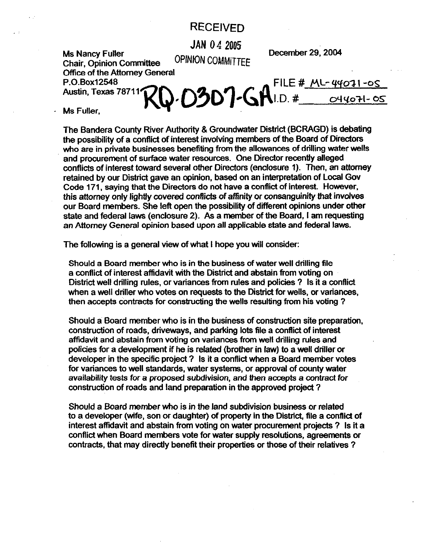## **RECEIVED**

**JAN 04 2005** 

**OPINION COMMITTEE December 29.2094** 

**MS Nancy Fuller Chair. Ooinion Committee office of the Attorney General** 

20.0307-GAI.D. # 044071-05 FILE #  $MC-44071-0S$ Austin, Texas 78711

Ms Fuller.

**The Bandera County River Authority & Groundwater District (BCRAGD) is debating the possibility of a conflict of interest invoking members** Of **the Board of Directors**  who are in private businesses benefiting from the allowances of drilling water wells **and procurement of surface water resources. One Director recently alleged conflicts of interest toward several other Directors (enclosure 1). Then, an attorney**  retained by our District gave an opinion, based on an interpretation of Local Gov **Code 171, saying that the Directors do not have a conflict of interest. However, this attorney only lightly covered conflicts of affinity or consanguinity that involves our Board members. She lett open the possibility of different opinions under Other state and federal laws (enclosure 2). As a member of the Board, I am requesting an Attorney General opinion based upon all applicable state and federal laws.** 

**The following is a general view of what I hope you will consider:** 

**Should a Board member who is in the business of water well drilling file a conflict of interest affidavit with the District and abstain from voting on District well drilling rules, or variances from rules and policies 7 Is it a conflict when a well driller who votes on requests to the District for wells, or variances, then accepts contracts for constructing the wells resulting from his voting 7** 

**Should a Board member who is in the business of construction site preparation, construction of roads, driveways, and parking lots file a conflict of interest affidavit and abstain from voting on variances from Well drilling rules and policies for a development if he is related (brother in law) to a well driller or developer in the specific project 7 Is it a conflict when a Board member votes for variances to well standards, water systems, or approval of county water availability tests for a proposed subdivision, and then accepts a contract for construction of roads and land preparation in the approved project 7** 

**Should a Board member who is in the land subdivision business or related to a developer (wife, son or daughter) of property in the District, file a conflict of interest affidavit and abstain from voting on water procurement projects ? Is it a conflict when Board members vote for water supply resolutions, agreements or contracts, that may directly benefit their properties or those of their relatives 7**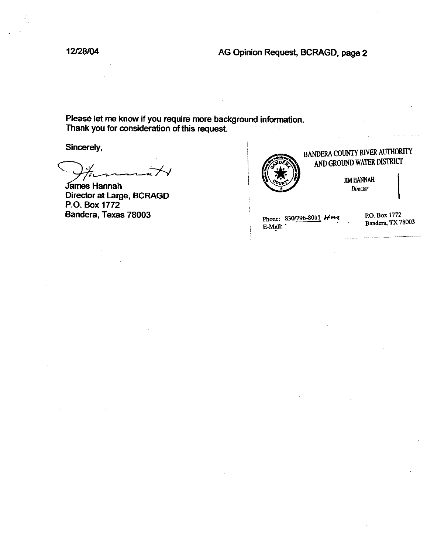12/28/04

## AG Opinion Request, BCRAGD, page 2

Please let me know if you require more background information. Thank you for consideration of this request.

Sincerely,

**James Hannah** Director at Large, BCRAGD P.O. Box 1772 Bandera, Texas 78003